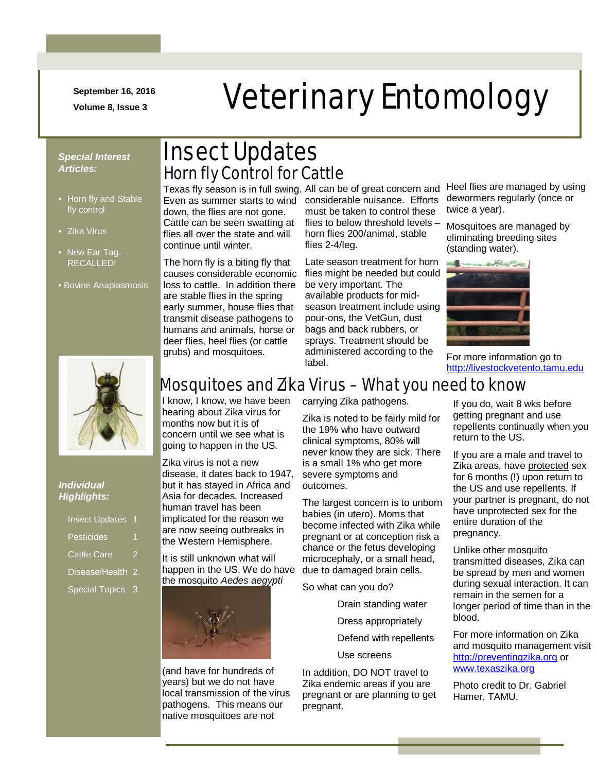**September 16, 2016**

## N m -/.///../. mmmmmmmm September 16, 2016<br>Volume 8, Issue 3<br>**Veterinary Entomology**

- Horn fly and Stable fly control
- Zika Virus
- New Ear Tag -RECALLED!
- Bovine Anaplasmosis



### *Individual Highlights:*

| <b>Insect Updates</b>       | 1 |
|-----------------------------|---|
| <b>Pesticides</b>           |   |
| Cattle Care                 |   |
| Disease/Health <sub>2</sub> |   |
| Special Topics 3            |   |

### *Special Interest* Insect Updates *Articles:* Horn fly Control for Cattle

down, the flies are not gone. Cattle can be seen swatting at flies all over the state and will continue until winter.

The horn fly is a biting fly that causes considerable economic loss to cattle. In addition there are stable flies in the spring early summer, house flies that transmit disease pathogens to humans and animals, horse or deer flies, heel flies (or cattle grubs) and mosquitoes.

Texas fly season is in full swing. All can be of great concern and Even as summer starts to wind considerable nuisance. Efforts must be taken to control these flies to below threshold levels – horn flies 200/animal, stable flies 2-4/leg.

> Late season treatment for horn flies might be needed but could be very important. The available products for midseason treatment include using pour-ons, the VetGun, dust bags and back rubbers, or sprays. Treatment should be administered according to the label.

Heel flies are managed by using dewormers regularly (once or twice a year).

Mosquitoes are managed by eliminating breeding sites (standing water).



For more information go to [http://livestockvetento.tamu.edu](http://livestockvetento.tamu.edu/)

### Mosquitoes and Zika Virus – What you need to know

I know, I know, we have been hearing about Zika virus for months now but it is of concern until we see what is going to happen in the US.

Zika virus is not a new disease, it dates back to 1947, but it has stayed in Africa and Asia for decades. Increased human travel has been implicated for the reason we are now seeing outbreaks in the Western Hemisphere.

It is still unknown what will happen in the US. We do have the mosquito *Aedes aegypti*



(and have for hundreds of years) but we do not have local transmission of the virus pathogens. This means our native mosquitoes are not

carrying Zika pathogens.

Zika is noted to be fairly mild for the 19% who have outward clinical symptoms, 80% will never know they are sick. There is a small 1% who get more severe symptoms and outcomes.

The largest concern is to unborn babies (in utero). Moms that become infected with Zika while pregnant or at conception risk a chance or the fetus developing microcephaly, or a small head, due to damaged brain cells.

So what can you do?

Drain standing water

Dress appropriately

Defend with repellents

Use screens

In addition, DO NOT travel to Zika endemic areas if you are pregnant or are planning to get pregnant.

If you do, wait 8 wks before getting pregnant and use repellents continually when you return to the US.

If you are a male and travel to Zika areas, have protected sex for 6 months (!) upon return to the US and use repellents. If your partner is pregnant, do not have unprotected sex for the entire duration of the pregnancy.

Unlike other mosquito transmitted diseases, Zika can be spread by men and women during sexual interaction. It can remain in the semen for a longer period of time than in the blood.

For more information on Zika and mosquito management visit [http://preventingzika.org](http://preventingzika.org/) or [www.texaszika.org](http://www.texaszika.org/)

Photo credit to Dr. Gabriel Hamer, TAMU.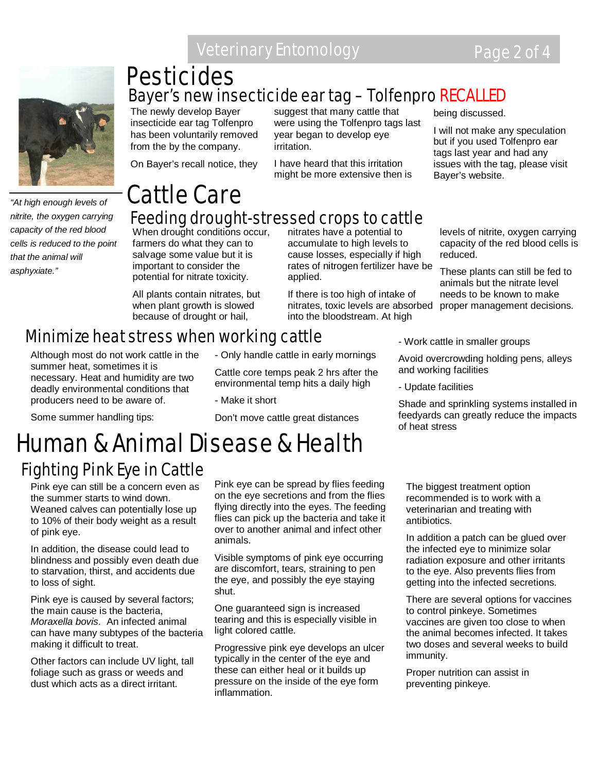

*"At high enough levels of nitrite, the oxygen carrying capacity of the red blood cells is reduced to the point that the animal will asphyxiate."* 

## Bayer's new insecticide ear tag – Tolfenpro RECALLED **Pesticides**

The newly develop Bayer insecticide ear tag Tolfenpro has been voluntarily removed from the by the company.

On Bayer's recall notice, they

suggest that many cattle that were using the Tolfenpro tags last year began to develop eye irritation.

I have heard that this irritation might be more extensive then is being discussed.

I will not make any speculation but if you used Tolfenpro ear tags last year and had any issues with the tag, please visit Bayer's website.

### Cattle Care Feeding drought-stressed crops to cattle

When drought conditions occur, farmers do what they can to salvage some value but it is important to consider the potential for nitrate toxicity.

All plants contain nitrates, but when plant growth is slowed because of drought or hail,

nitrates have a potential to accumulate to high levels to cause losses, especially if high rates of nitrogen fertilizer have be applied.

If there is too high of intake of nitrates, toxic levels are absorbed proper management decisions. into the bloodstream. At high

levels of nitrite, oxygen carrying capacity of the red blood cells is reduced.

These plants can still be fed to animals but the nitrate level needs to be known to make

### Minimize heat stress when working cattle

Although most do not work cattle in the summer heat, sometimes it is necessary. Heat and humidity are two deadly environmental conditions that producers need to be aware of.

Some summer handling tips:

- Only handle cattle in early mornings

Cattle core temps peak 2 hrs after the environmental temp hits a daily high

- Make it short

Don't move cattle great distances

# Fighting Pink Eye in Cattle Human & Animal Disease & Health

Pink eye can still be a concern even as the summer starts to wind down. Weaned calves can potentially lose up to 10% of their body weight as a result of pink eye.

In addition, the disease could lead to blindness and possibly even death due to starvation, thirst, and accidents due to loss of sight.

Pink eye is caused by several factors; the main cause is the bacteria, *Moraxella bovis*. An infected animal can have many subtypes of the bacteria making it difficult to treat.

Other factors can include UV light, tall foliage such as grass or weeds and dust which acts as a direct irritant.

Pink eye can be spread by flies feeding on the eye secretions and from the flies flying directly into the eyes. The feeding flies can pick up the bacteria and take it over to another animal and infect other animals.

Visible symptoms of pink eye occurring are discomfort, tears, straining to pen the eye, and possibly the eye staying shut.

One guaranteed sign is increased tearing and this is especially visible in light colored cattle.

Progressive pink eye develops an ulcer typically in the center of the eye and these can either heal or it builds up pressure on the inside of the eye form inflammation.

- Work cattle in smaller groups Avoid overcrowding holding pens, alleys

and working facilities

- Update facilities

Shade and sprinkling systems installed in feedyards can greatly reduce the impacts of heat stress

The biggest treatment option recommended is to work with a veterinarian and treating with antibiotics.

In addition a patch can be glued over the infected eye to minimize solar radiation exposure and other irritants to the eye. Also prevents flies from getting into the infected secretions.

There are several options for vaccines to control pinkeye. Sometimes vaccines are given too close to when the animal becomes infected. It takes two doses and several weeks to build immunity.

Proper nutrition can assist in preventing pinkeye.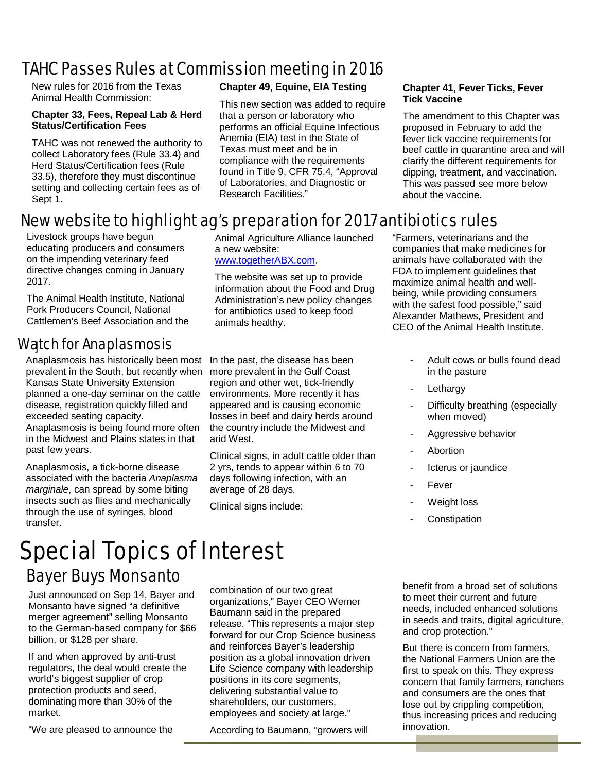### TAHC Passes Rules at Commission meeting in 2016

New rules for 2016 from the Texas Animal Health Commission:

#### **Chapter 33, Fees, Repeal Lab & Herd Status/Certification Fees**

TAHC was not renewed the authority to collect Laboratory fees (Rule 33.4) and Herd Status/Certification fees (Rule 33.5), therefore they must discontinue setting and collecting certain fees as of Sept 1.

### **Chapter 49, Equine, EIA Testing**

This new section was added to require that a person or laboratory who performs an official Equine Infectious Anemia (EIA) test in the State of Texas must meet and be in compliance with the requirements found in Title 9, CFR 75.4, "Approval of Laboratories, and Diagnostic or Research Facilities."

#### **Chapter 41, Fever Ticks, Fever Tick Vaccine**

The amendment to this Chapter was proposed in February to add the fever tick vaccine requirements for beef cattle in quarantine area and will clarify the different requirements for dipping, treatment, and vaccination. This was passed see more below about the vaccine.

### New website to highlight ag's preparation for 2017 antibiotics rules

Livestock groups have begun educating producers and consumers on the impending veterinary feed directive changes coming in January 2017.

The Animal Health Institute, National Pork Producers Council, National Cattlemen's Beef Association and the

### ] Watch for Anaplasmosis

Anaplasmosis has historically been most prevalent in the South, but recently when Kansas State University Extension planned a one-day seminar on the cattle disease, registration quickly filled and exceeded seating capacity. Anaplasmosis is being found more often in the Midwest and Plains states in that past few years.

Anaplasmosis, a tick-borne disease associated with the bacteria *Anaplasma marginale*, can spread by some biting insects such as flies and mechanically through the use of syringes, blood transfer.

Animal Agriculture Alliance launched a new website: [www.togetherABX.com.](http://www.togetherabx.com/)

The website was set up to provide information about the Food and Drug Administration's new policy changes for antibiotics used to keep food animals healthy.

In the past, the disease has been more prevalent in the Gulf Coast region and other wet, tick-friendly environments. More recently it has appeared and is causing economic losses in beef and dairy herds around the country include the Midwest and arid West.

Clinical signs, in adult cattle older than 2 yrs, tends to appear within 6 to 70 days following infection, with an average of 28 days.

Clinical signs include:

"Farmers, veterinarians and the companies that make medicines for animals have collaborated with the FDA to implement guidelines that maximize animal health and wellbeing, while providing consumers with the safest food possible," said Alexander Mathews, President and CEO of the Animal Health Institute.

- Adult cows or bulls found dead in the pasture
- Lethargy
- Difficulty breathing (especially when moved)
- Aggressive behavior
- **Abortion**
- Icterus or jaundice
- Fever
- Weight loss
- **Constipation**

# Special Topics of Interest

### **Bayer Buys Monsanto benefit from a broad set of solutions**

Just announced on Sep 14, Bayer and Monsanto have signed "a definitive merger agreement" selling Monsanto to the German-based company for \$66 billion, or \$128 per share.

If and when approved by anti-trust regulators, the deal would create the world's biggest supplier of crop protection products and seed, dominating more than 30% of the market.

"We are pleased to announce the

combination of our two great organizations," Bayer CEO Werner Baumann said in the prepared release. "This represents a major step forward for our Crop Science business and reinforces Bayer's leadership position as a global innovation driven Life Science company with leadership positions in its core segments, delivering substantial value to shareholders, our customers, employees and society at large."

According to Baumann, "growers will

to meet their current and future needs, included enhanced solutions in seeds and traits, digital agriculture, and crop protection."

But there is concern from farmers, the National Farmers Union are the first to speak on this. They express concern that family farmers, ranchers and consumers are the ones that lose out by crippling competition, thus increasing prices and reducing innovation.